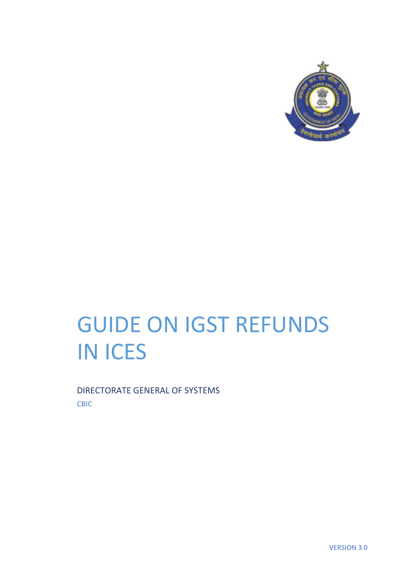

# GUIDE ON IGST REFUNDS IN ICES

DIRECTORATE GENERAL OF SYSTEMS CBIC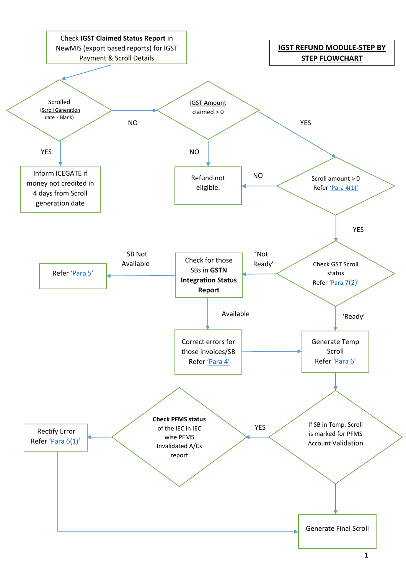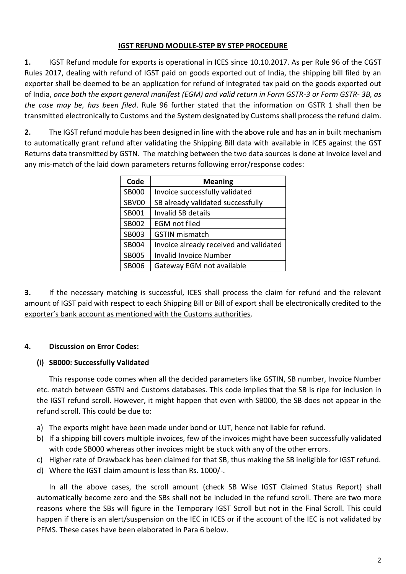## **IGST REFUND MODULE-STEP BY STEP PROCEDURE**

**1.** IGST Refund module for exports is operational in ICES since 10.10.2017. As per Rule 96 of the CGST Rules 2017, dealing with refund of IGST paid on goods exported out of India, the shipping bill filed by an exporter shall be deemed to be an application for refund of integrated tax paid on the goods exported out of India, *once both the export general manifest (EGM) and valid return in Form GSTR-3 or Form GSTR- 3B, as the case may be, has been filed*. Rule 96 further stated that the information on GSTR 1 shall then be transmitted electronically to Customs and the System designated by Customs shall process the refund claim.

**2.** The IGST refund module has been designed in line with the above rule and has an in built mechanism to automatically grant refund after validating the Shipping Bill data with available in ICES against the GST Returns data transmitted by GSTN. The matching between the two data sources is done at Invoice level and any mis-match of the laid down parameters returns following error/response codes:

| Code         | <b>Meaning</b>                         |  |
|--------------|----------------------------------------|--|
| <b>SB000</b> | Invoice successfully validated         |  |
| SBV00        | SB already validated successfully      |  |
| SB001        | <b>Invalid SB details</b>              |  |
| SB002        | <b>EGM</b> not filed                   |  |
| SB003        | <b>GSTIN</b> mismatch                  |  |
| SB004        | Invoice already received and validated |  |
| <b>SB005</b> | <b>Invalid Invoice Number</b>          |  |
| SB006        | Gateway EGM not available              |  |

**3.** If the necessary matching is successful, ICES shall process the claim for refund and the relevant amount of IGST paid with respect to each Shipping Bill or Bill of export shall be electronically credited to the exporter's bank account as mentioned with the Customs authorities.

# **4. Discussion on Error Codes:**

# <span id="page-2-1"></span><span id="page-2-0"></span>**(i) SB000: Successfully Validated**

This response code comes when all the decided parameters like GSTIN, SB number, Invoice Number etc. match between GSTN and Customs databases. This code implies that the SB is ripe for inclusion in the IGST refund scroll. However, it might happen that even with SB000, the SB does not appear in the refund scroll. This could be due to:

- a) The exports might have been made under bond or LUT, hence not liable for refund.
- b) If a shipping bill covers multiple invoices, few of the invoices might have been successfully validated with code SB000 whereas other invoices might be stuck with any of the other errors.
- c) Higher rate of Drawback has been claimed for that SB, thus making the SB ineligible for IGST refund.
- d) Where the IGST claim amount is less than Rs. 1000/-.

In all the above cases, the scroll amount (check SB Wise IGST Claimed Status Report) shall automatically become zero and the SBs shall not be included in the refund scroll. There are two more reasons where the SBs will figure in the Temporary IGST Scroll but not in the Final Scroll. This could happen if there is an alert/suspension on the IEC in ICES or if the account of the IEC is not validated by PFMS. These cases have been elaborated in Para 6 below.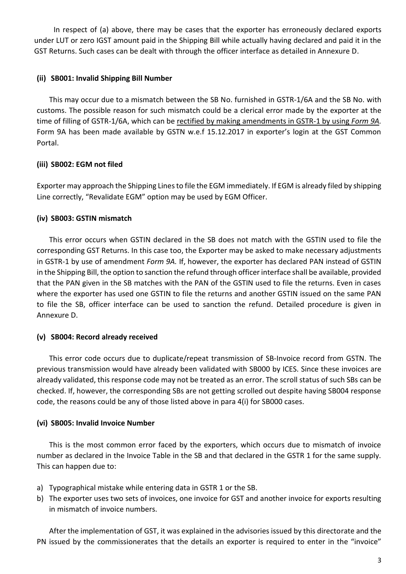In respect of (a) above, there may be cases that the exporter has erroneously declared exports under LUT or zero IGST amount paid in the Shipping Bill while actually having declared and paid it in the GST Returns. Such cases can be dealt with through the officer interface as detailed in Annexure D.

## **(ii) SB001: Invalid Shipping Bill Number**

This may occur due to a mismatch between the SB No. furnished in GSTR-1/6A and the SB No. with customs. The possible reason for such mismatch could be a clerical error made by the exporter at the time of filling of GSTR-1/6A, which can be rectified by making amendments in GSTR-1 by using *Form 9A.* Form 9A has been made available by GSTN w.e.f 15.12.2017 in exporter's login at the GST Common Portal.

#### **(iii) SB002: EGM not filed**

Exporter may approach the Shipping Linesto file the EGM immediately. If EGM is already filed by shipping Line correctly, "Revalidate EGM" option may be used by EGM Officer.

#### **(iv) SB003: GSTIN mismatch**

This error occurs when GSTIN declared in the SB does not match with the GSTIN used to file the corresponding GST Returns. In this case too, the Exporter may be asked to make necessary adjustments in GSTR-1 by use of amendment *Form 9A.* If, however, the exporter has declared PAN instead of GSTIN in the Shipping Bill, the option to sanction the refund through officer interface shall be available, provided that the PAN given in the SB matches with the PAN of the GSTIN used to file the returns. Even in cases where the exporter has used one GSTIN to file the returns and another GSTIN issued on the same PAN to file the SB, officer interface can be used to sanction the refund. Detailed procedure is given in Annexure D.

## **(v) SB004: Record already received**

This error code occurs due to duplicate/repeat transmission of SB-Invoice record from GSTN. The previous transmission would have already been validated with SB000 by ICES. Since these invoices are already validated, this response code may not be treated as an error. The scroll status of such SBs can be checked. If, however, the corresponding SBs are not getting scrolled out despite having SB004 response code, the reasons could be any of those listed above in para 4(i) for SB000 cases.

## **(vi) SB005: Invalid Invoice Number**

This is the most common error faced by the exporters, which occurs due to mismatch of invoice number as declared in the Invoice Table in the SB and that declared in the GSTR 1 for the same supply. This can happen due to:

- a) Typographical mistake while entering data in GSTR 1 or the SB.
- b) The exporter uses two sets of invoices, one invoice for GST and another invoice for exports resulting in mismatch of invoice numbers.

After the implementation of GST, it was explained in the advisories issued by this directorate and the PN issued by the commissionerates that the details an exporter is required to enter in the "invoice"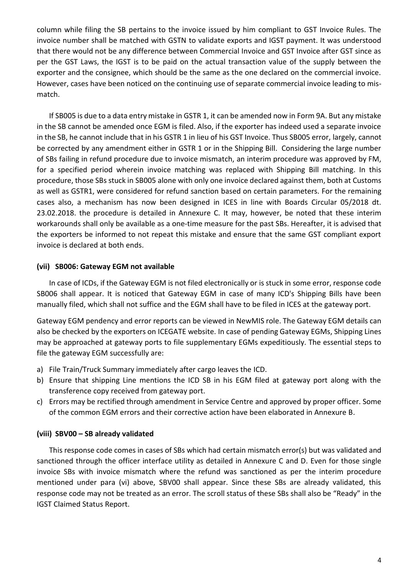column while filing the SB pertains to the invoice issued by him compliant to GST Invoice Rules. The invoice number shall be matched with GSTN to validate exports and IGST payment. It was understood that there would not be any difference between Commercial Invoice and GST Invoice after GST since as per the GST Laws, the IGST is to be paid on the actual transaction value of the supply between the exporter and the consignee, which should be the same as the one declared on the commercial invoice. However, cases have been noticed on the continuing use of separate commercial invoice leading to mismatch.

If SB005 is due to a data entry mistake in GSTR 1, it can be amended now in Form 9A. But any mistake in the SB cannot be amended once EGM is filed. Also, if the exporter has indeed used a separate invoice in the SB, he cannot include that in his GSTR 1 in lieu of his GST Invoice. Thus SB005 error, largely, cannot be corrected by any amendment either in GSTR 1 or in the Shipping Bill. Considering the large number of SBs failing in refund procedure due to invoice mismatch, an interim procedure was approved by FM, for a specified period wherein invoice matching was replaced with Shipping Bill matching. In this procedure, those SBs stuck in SB005 alone with only one invoice declared against them, both at Customs as well as GSTR1, were considered for refund sanction based on certain parameters. For the remaining cases also, a mechanism has now been designed in ICES in line with Boards Circular 05/2018 dt. 23.02.2018. the procedure is detailed in Annexure C. It may, however, be noted that these interim workarounds shall only be available as a one-time measure for the past SBs. Hereafter, it is advised that the exporters be informed to not repeat this mistake and ensure that the same GST compliant export invoice is declared at both ends.

#### **(vii) SB006: Gateway EGM not available**

In case of ICDs, if the Gateway EGM is not filed electronically or is stuck in some error, response code SB006 shall appear. It is noticed that Gateway EGM in case of many ICD's Shipping Bills have been manually filed, which shall not suffice and the EGM shall have to be filed in ICES at the gateway port.

Gateway EGM pendency and error reports can be viewed in NewMIS role. The Gateway EGM details can also be checked by the exporters on ICEGATE website. In case of pending Gateway EGMs, Shipping Lines may be approached at gateway ports to file supplementary EGMs expeditiously. The essential steps to file the gateway EGM successfully are:

- a) File Train/Truck Summary immediately after cargo leaves the ICD.
- b) Ensure that shipping Line mentions the ICD SB in his EGM filed at gateway port along with the transference copy received from gateway port.
- c) Errors may be rectified through amendment in Service Centre and approved by proper officer. Some of the common EGM errors and their corrective action have been elaborated in Annexure B.

## **(viii) SBV00 – SB already validated**

This response code comes in cases of SBs which had certain mismatch error(s) but was validated and sanctioned through the officer interface utility as detailed in Annexure C and D. Even for those single invoice SBs with invoice mismatch where the refund was sanctioned as per the interim procedure mentioned under para (vi) above, SBV00 shall appear. Since these SBs are already validated, this response code may not be treated as an error. The scroll status of these SBs shall also be "Ready" in the IGST Claimed Status Report.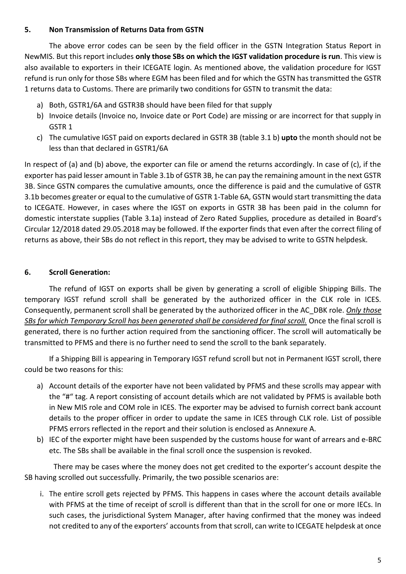## <span id="page-5-2"></span>**5. Non Transmission of Returns Data from GSTN**

The above error codes can be seen by the field officer in the GSTN Integration Status Report in NewMIS. But this report includes **only those SBs on which the IGST validation procedure is run**. This view is also available to exporters in their ICEGATE login. As mentioned above, the validation procedure for IGST refund is run only for those SBs where EGM has been filed and for which the GSTN has transmitted the GSTR 1 returns data to Customs. There are primarily two conditions for GSTN to transmit the data:

- a) Both, GSTR1/6A and GSTR3B should have been filed for that supply
- b) Invoice details (Invoice no, Invoice date or Port Code) are missing or are incorrect for that supply in GSTR 1
- c) The cumulative IGST paid on exports declared in GSTR 3B (table 3.1 b) **upto** the month should not be less than that declared in GSTR1/6A

In respect of (a) and (b) above, the exporter can file or amend the returns accordingly. In case of (c), if the exporter has paid lesser amount in Table 3.1b of GSTR 3B, he can pay the remaining amount in the next GSTR 3B. Since GSTN compares the cumulative amounts, once the difference is paid and the cumulative of GSTR 3.1b becomes greater or equal to the cumulative of GSTR 1-Table 6A, GSTN would start transmitting the data to ICEGATE. However, in cases where the IGST on exports in GSTR 3B has been paid in the column for domestic interstate supplies (Table 3.1a) instead of Zero Rated Supplies, procedure as detailed in Board's Circular 12/2018 dated 29.05.2018 may be followed. If the exporter finds that even after the correct filing of returns as above, their SBs do not reflect in this report, they may be advised to write to GSTN helpdesk.

## <span id="page-5-1"></span>**6. Scroll Generation:**

The refund of IGST on exports shall be given by generating a scroll of eligible Shipping Bills. The temporary IGST refund scroll shall be generated by the authorized officer in the CLK role in ICES. Consequently, permanent scroll shall be generated by the authorized officer in the AC\_DBK role. *Only those SBs for which Temporary Scroll has been generated shall be considered for final scroll.* Once the final scroll is generated, there is no further action required from the sanctioning officer. The scroll will automatically be transmitted to PFMS and there is no further need to send the scroll to the bank separately.

If a Shipping Bill is appearing in Temporary IGST refund scroll but not in Permanent IGST scroll, there could be two reasons for this:

- <span id="page-5-0"></span>a) Account details of the exporter have not been validated by PFMS and these scrolls may appear with the "#" tag. A report consisting of account details which are not validated by PFMS is available both in New MIS role and COM role in ICES. The exporter may be advised to furnish correct bank account details to the proper officer in order to update the same in ICES through CLK role. List of possible PFMS errors reflected in the report and their solution is enclosed as Annexure A.
- b) IEC of the exporter might have been suspended by the customs house for want of arrears and e-BRC etc. The SBs shall be available in the final scroll once the suspension is revoked.

There may be cases where the money does not get credited to the exporter's account despite the SB having scrolled out successfully. Primarily, the two possible scenarios are:

i. The entire scroll gets rejected by PFMS. This happens in cases where the account details available with PFMS at the time of receipt of scroll is different than that in the scroll for one or more IECs. In such cases, the jurisdictional System Manager, after having confirmed that the money was indeed not credited to any of the exporters' accounts from that scroll, can write to ICEGATE helpdesk at once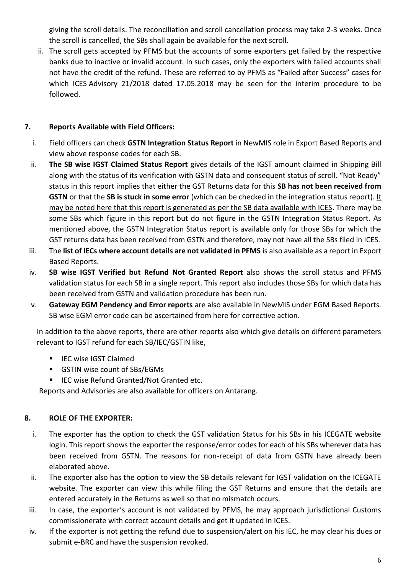giving the scroll details. The reconciliation and scroll cancellation process may take 2-3 weeks. Once the scroll is cancelled, the SBs shall again be available for the next scroll.

ii. The scroll gets accepted by PFMS but the accounts of some exporters get failed by the respective banks due to inactive or invalid account. In such cases, only the exporters with failed accounts shall not have the credit of the refund. These are referred to by PFMS as "Failed after Success" cases for which ICES Advisory 21/2018 dated 17.05.2018 may be seen for the interim procedure to be followed.

## **7. Reports Available with Field Officers:**

- i. Field officers can check **GSTN Integration Status Report** in NewMIS role in Export Based Reports and view above response codes for each SB.
- <span id="page-6-0"></span>ii. **The SB wise IGST Claimed Status Report** gives details of the IGST amount claimed in Shipping Bill along with the status of its verification with GSTN data and consequent status of scroll. "Not Ready" status in this report implies that either the GST Returns data for this **SB has not been received from GSTN** or that the SB is stuck in some error (which can be checked in the integration status report). It may be noted here that this report is generated as per the SB data available with ICES. There may be some SBs which figure in this report but do not figure in the GSTN Integration Status Report. As mentioned above, the GSTN Integration Status report is available only for those SBs for which the GST returns data has been received from GSTN and therefore, may not have all the SBs filed in ICES.
- iii. The **list of IECs where account details are not validated in PFMS** is also available as a report in Export Based Reports.
- iv. **SB wise IGST Verified but Refund Not Granted Report** also shows the scroll status and PFMS validation status for each SB in a single report. This report also includes those SBs for which data has been received from GSTN and validation procedure has been run.
- v. **Gateway EGM Pendency and Error reports** are also available in NewMIS under EGM Based Reports. SB wise EGM error code can be ascertained from here for corrective action.

In addition to the above reports, there are other reports also which give details on different parameters relevant to IGST refund for each SB/IEC/GSTIN like,

- **IFC wise IGST Claimed**
- GSTIN wise count of SBs/EGMs
- IEC wise Refund Granted/Not Granted etc.

Reports and Advisories are also available for officers on Antarang.

# **8. ROLE OF THE EXPORTER:**

- i. The exporter has the option to check the GST validation Status for his SBs in his ICEGATE website login. This report shows the exporter the response/error codes for each of his SBs wherever data has been received from GSTN. The reasons for non-receipt of data from GSTN have already been elaborated above.
- ii. The exporter also has the option to view the SB details relevant for IGST validation on the ICEGATE website. The exporter can view this while filing the GST Returns and ensure that the details are entered accurately in the Returns as well so that no mismatch occurs.
- iii. In case, the exporter's account is not validated by PFMS, he may approach jurisdictional Customs commissionerate with correct account details and get it updated in ICES.
- iv. If the exporter is not getting the refund due to suspension/alert on his IEC, he may clear his dues or submit e-BRC and have the suspension revoked.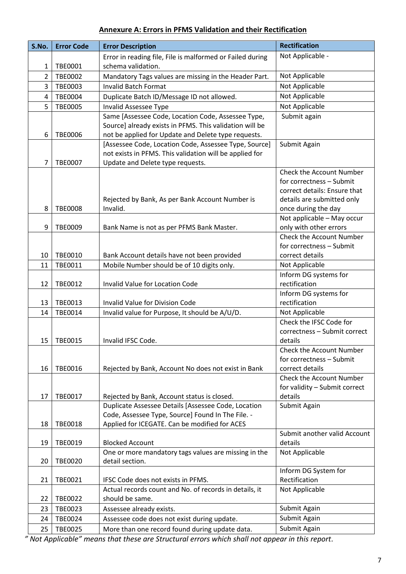# **Annexure A: Errors in PFMS Validation and their Rectification**

| S.No.          | <b>Error Code</b> | <b>Error Description</b>                                                                                 | <b>Rectification</b>                   |
|----------------|-------------------|----------------------------------------------------------------------------------------------------------|----------------------------------------|
|                |                   | Error in reading file, File is malformed or Failed during                                                | Not Applicable -                       |
| 1              | <b>TBE0001</b>    | schema validation.                                                                                       |                                        |
| $\overline{2}$ | <b>TBE0002</b>    | Mandatory Tags values are missing in the Header Part.                                                    | Not Applicable                         |
| 3              | <b>TBE0003</b>    | <b>Invalid Batch Format</b>                                                                              | Not Applicable                         |
| 4              | <b>TBE0004</b>    | Duplicate Batch ID/Message ID not allowed.                                                               | Not Applicable                         |
| 5              | <b>TBE0005</b>    | <b>Invalid Assessee Type</b>                                                                             | Not Applicable                         |
|                |                   | Same [Assessee Code, Location Code, Assessee Type,                                                       | Submit again                           |
|                |                   | Source] already exists in PFMS. This validation will be                                                  |                                        |
| 6              | <b>TBE0006</b>    | not be applied for Update and Delete type requests.                                                      |                                        |
|                |                   | [Assessee Code, Location Code, Assessee Type, Source]                                                    | Submit Again                           |
|                |                   | not exists in PFMS. This validation will be applied for                                                  |                                        |
| 7              | <b>TBE0007</b>    | Update and Delete type requests.                                                                         | <b>Check the Account Number</b>        |
|                |                   |                                                                                                          | for correctness - Submit               |
|                |                   |                                                                                                          | correct details: Ensure that           |
|                |                   | Rejected by Bank, As per Bank Account Number is                                                          | details are submitted only             |
| 8              | <b>TBE0008</b>    | Invalid.                                                                                                 | once during the day                    |
|                |                   |                                                                                                          | Not applicable - May occur             |
| 9              | <b>TBE0009</b>    | Bank Name is not as per PFMS Bank Master.                                                                | only with other errors                 |
|                |                   |                                                                                                          | <b>Check the Account Number</b>        |
|                |                   |                                                                                                          | for correctness - Submit               |
| 10             | TBE0010           | Bank Account details have not been provided                                                              | correct details                        |
| 11             | TBE0011           | Mobile Number should be of 10 digits only.                                                               | Not Applicable                         |
|                |                   |                                                                                                          | Inform DG systems for                  |
| 12             | TBE0012           | Invalid Value for Location Code                                                                          | rectification                          |
| 13             | TBE0013           | <b>Invalid Value for Division Code</b>                                                                   | Inform DG systems for<br>rectification |
| 14             | TBE0014           | Invalid value for Purpose, It should be A/U/D.                                                           | Not Applicable                         |
|                |                   |                                                                                                          | Check the IFSC Code for                |
|                |                   |                                                                                                          | correctness - Submit correct           |
| 15             | <b>TBE0015</b>    | Invalid IFSC Code.                                                                                       | details                                |
|                |                   |                                                                                                          | <b>Check the Account Number</b>        |
|                |                   |                                                                                                          | for correctness - Submit               |
| 16             | TBE0016           | Rejected by Bank, Account No does not exist in Bank                                                      | correct details                        |
|                |                   |                                                                                                          | Check the Account Number               |
|                |                   |                                                                                                          | for validity - Submit correct          |
| 17             | TBE0017           | Rejected by Bank, Account status is closed.                                                              | details                                |
|                |                   | Duplicate Assessee Details [Assessee Code, Location<br>Code, Assessee Type, Source] Found In The File. - | Submit Again                           |
| 18             | <b>TBE0018</b>    | Applied for ICEGATE. Can be modified for ACES                                                            |                                        |
|                |                   |                                                                                                          | Submit another valid Account           |
| 19             | TBE0019           | <b>Blocked Account</b>                                                                                   | details                                |
|                |                   | One or more mandatory tags values are missing in the                                                     | Not Applicable                         |
| 20             | <b>TBE0020</b>    | detail section.                                                                                          |                                        |
|                |                   |                                                                                                          | Inform DG System for                   |
| 21             | TBE0021           | IFSC Code does not exists in PFMS.                                                                       | Rectification                          |
|                |                   | Actual records count and No. of records in details, it                                                   | Not Applicable                         |
| 22             | <b>TBE0022</b>    | should be same.                                                                                          |                                        |
| 23             | <b>TBE0023</b>    | Assessee already exists.                                                                                 | Submit Again                           |
| 24             | TBE0024           | Assessee code does not exist during update.                                                              | Submit Again                           |
| 25             | <b>TBE0025</b>    | More than one record found during update data.                                                           | Submit Again                           |

*" Not Applicable" means that these are Structural errors which shall not appear in this report.*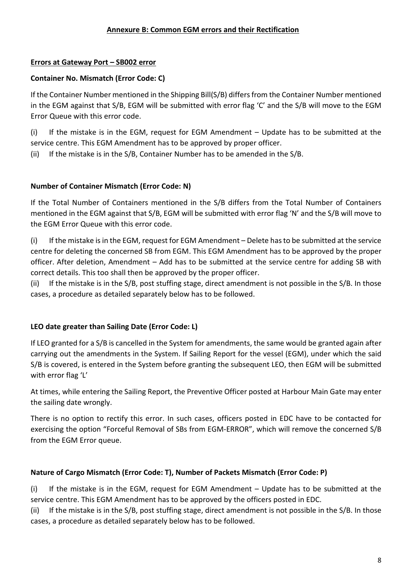## **Errors at Gateway Port – SB002 error**

## **Container No. Mismatch (Error Code: C)**

If the Container Number mentioned in the Shipping Bill(S/B) differs from the Container Number mentioned in the EGM against that S/B, EGM will be submitted with error flag 'C' and the S/B will move to the EGM Error Queue with this error code.

(i) If the mistake is in the EGM, request for EGM Amendment – Update has to be submitted at the service centre. This EGM Amendment has to be approved by proper officer.

(ii) If the mistake is in the S/B, Container Number has to be amended in the S/B.

## **Number of Container Mismatch (Error Code: N)**

If the Total Number of Containers mentioned in the S/B differs from the Total Number of Containers mentioned in the EGM against that S/B, EGM will be submitted with error flag 'N' and the S/B will move to the EGM Error Queue with this error code.

(i) If the mistake isin the EGM, request for EGM Amendment – Delete has to be submitted at the service centre for deleting the concerned SB from EGM. This EGM Amendment has to be approved by the proper officer. After deletion, Amendment – Add has to be submitted at the service centre for adding SB with correct details. This too shall then be approved by the proper officer.

(ii) If the mistake is in the S/B, post stuffing stage, direct amendment is not possible in the S/B. In those cases, a procedure as detailed separately below has to be followed.

## **LEO date greater than Sailing Date (Error Code: L)**

If LEO granted for a S/B is cancelled in the System for amendments, the same would be granted again after carrying out the amendments in the System. If Sailing Report for the vessel (EGM), under which the said S/B is covered, is entered in the System before granting the subsequent LEO, then EGM will be submitted with error flag 'L'

At times, while entering the Sailing Report, the Preventive Officer posted at Harbour Main Gate may enter the sailing date wrongly.

There is no option to rectify this error. In such cases, officers posted in EDC have to be contacted for exercising the option "Forceful Removal of SBs from EGM-ERROR", which will remove the concerned S/B from the EGM Error queue.

## **Nature of Cargo Mismatch (Error Code: T), Number of Packets Mismatch (Error Code: P)**

(i) If the mistake is in the EGM, request for EGM Amendment – Update has to be submitted at the service centre. This EGM Amendment has to be approved by the officers posted in EDC.

(ii) If the mistake is in the S/B, post stuffing stage, direct amendment is not possible in the S/B. In those cases, a procedure as detailed separately below has to be followed.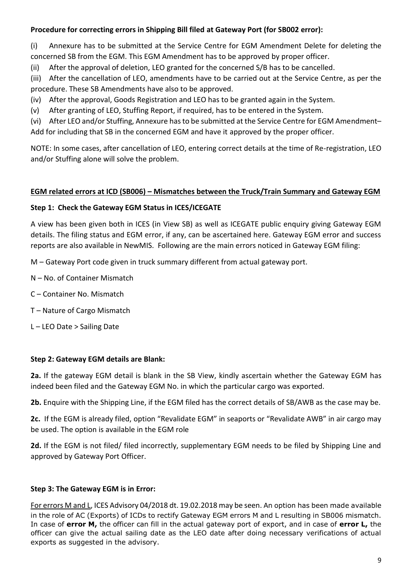## **Procedure for correcting errors in Shipping Bill filed at Gateway Port (for SB002 error):**

(i) Annexure has to be submitted at the Service Centre for EGM Amendment Delete for deleting the concerned SB from the EGM. This EGM Amendment has to be approved by proper officer.

(ii) After the approval of deletion, LEO granted for the concerned S/B has to be cancelled.

(iii) After the cancellation of LEO, amendments have to be carried out at the Service Centre, as per the procedure. These SB Amendments have also to be approved.

(iv) After the approval, Goods Registration and LEO has to be granted again in the System.

(v) After granting of LEO, Stuffing Report, if required, has to be entered in the System.

(vi) After LEO and/or Stuffing, Annexure has to be submitted at the Service Centre for EGM Amendment– Add for including that SB in the concerned EGM and have it approved by the proper officer.

NOTE: In some cases, after cancellation of LEO, entering correct details at the time of Re-registration, LEO and/or Stuffing alone will solve the problem.

## **EGM related errors at ICD (SB006) – Mismatches between the Truck/Train Summary and Gateway EGM**

## **Step 1: Check the Gateway EGM Status in ICES/ICEGATE**

A view has been given both in ICES (in View SB) as well as ICEGATE public enquiry giving Gateway EGM details. The filing status and EGM error, if any, can be ascertained here. Gateway EGM error and success reports are also available in NewMIS. Following are the main errors noticed in Gateway EGM filing:

M – Gateway Port code given in truck summary different from actual gateway port.

N – No. of Container Mismatch

- C Container No. Mismatch
- T Nature of Cargo Mismatch
- L LEO Date > Sailing Date

## **Step 2: Gateway EGM details are Blank:**

**2a.** If the gateway EGM detail is blank in the SB View, kindly ascertain whether the Gateway EGM has indeed been filed and the Gateway EGM No. in which the particular cargo was exported.

**2b.** Enquire with the Shipping Line, if the EGM filed has the correct details of SB/AWB as the case may be.

**2c.** If the EGM is already filed, option "Revalidate EGM" in seaports or "Revalidate AWB" in air cargo may be used. The option is available in the EGM role

**2d.** If the EGM is not filed/ filed incorrectly, supplementary EGM needs to be filed by Shipping Line and approved by Gateway Port Officer.

# **Step 3: The Gateway EGM is in Error:**

For errors M and L, ICES Advisory 04/2018 dt. 19.02.2018 may be seen. An option has been made available in the role of AC (Exports) of ICDs to rectify Gateway EGM errors M and L resulting in SB006 mismatch. In case of **error M,** the officer can fill in the actual gateway port of export, and in case of **error L,** the officer can give the actual sailing date as the LEO date after doing necessary verifications of actual exports as suggested in the advisory.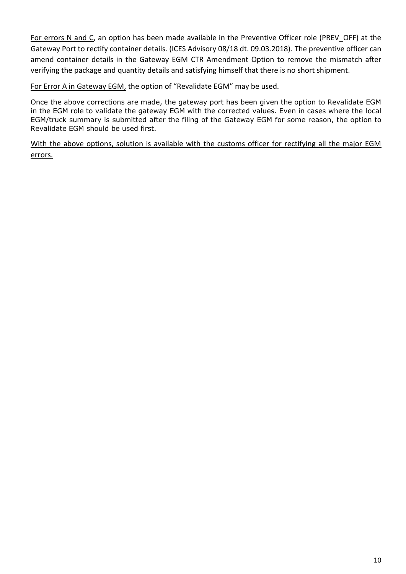For errors N and C, an option has been made available in the Preventive Officer role (PREV\_OFF) at the Gateway Port to rectify container details. (ICES Advisory 08/18 dt. 09.03.2018). The preventive officer can amend container details in the Gateway EGM CTR Amendment Option to remove the mismatch after verifying the package and quantity details and satisfying himself that there is no short shipment.

For Error A in Gateway EGM, the option of "Revalidate EGM" may be used.

Once the above corrections are made, the gateway port has been given the option to Revalidate EGM in the EGM role to validate the gateway EGM with the corrected values. Even in cases where the local EGM/truck summary is submitted after the filing of the Gateway EGM for some reason, the option to Revalidate EGM should be used first.

With the above options, solution is available with the customs officer for rectifying all the major EGM errors.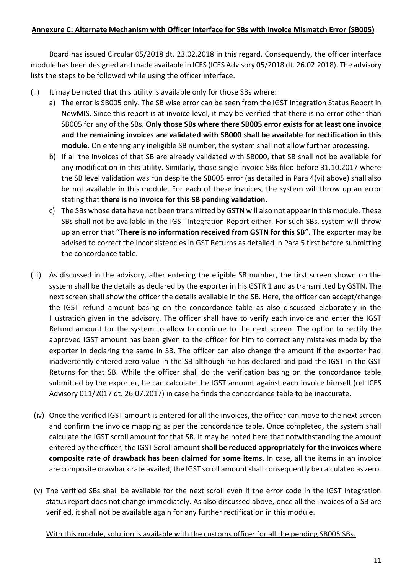Board has issued Circular 05/2018 dt. 23.02.2018 in this regard. Consequently, the officer interface module has been designed and made available in ICES (ICES Advisory 05/2018 dt. 26.02.2018). The advisory lists the steps to be followed while using the officer interface.

- (ii) It may be noted that this utility is available only for those SBs where:
	- a) The error is SB005 only. The SB wise error can be seen from the IGST Integration Status Report in NewMIS. Since this report is at invoice level, it may be verified that there is no error other than SB005 for any of the SBs. **Only those SBs where there SB005 error exists for at least one invoice and the remaining invoices are validated with SB000 shall be available for rectification in this module.** On entering any ineligible SB number, the system shall not allow further processing.
	- b) If all the invoices of that SB are already validated with SB000, that SB shall not be available for any modification in this utility. Similarly, those single invoice SBs filed before 31.10.2017 where the SB level validation was run despite the SB005 error (as detailed in Para 4(vi) above) shall also be not available in this module. For each of these invoices, the system will throw up an error stating that **there is no invoice for this SB pending validation.**
	- c) The SBs whose data have not been transmitted by GSTN will also not appear in this module. These SBs shall not be available in the IGST Integration Report either. For such SBs, system will throw up an error that "**There is no information received from GSTN for this SB**". The exporter may be advised to correct the inconsistencies in GST Returns as detailed in Para 5 first before submitting the concordance table.
- (iii) As discussed in the advisory, after entering the eligible SB number, the first screen shown on the system shall be the details as declared by the exporter in his GSTR 1 and as transmitted by GSTN. The next screen shall show the officer the details available in the SB. Here, the officer can accept/change the IGST refund amount basing on the concordance table as also discussed elaborately in the Illustration given in the advisory. The officer shall have to verify each invoice and enter the IGST Refund amount for the system to allow to continue to the next screen. The option to rectify the approved IGST amount has been given to the officer for him to correct any mistakes made by the exporter in declaring the same in SB. The officer can also change the amount if the exporter had inadvertently entered zero value in the SB although he has declared and paid the IGST in the GST Returns for that SB. While the officer shall do the verification basing on the concordance table submitted by the exporter, he can calculate the IGST amount against each invoice himself (ref ICES Advisory 011/2017 dt. 26.07.2017) in case he finds the concordance table to be inaccurate.
- (iv) Once the verified IGST amount is entered for all the invoices, the officer can move to the next screen and confirm the invoice mapping as per the concordance table. Once completed, the system shall calculate the IGST scroll amount for that SB. It may be noted here that notwithstanding the amount entered by the officer, the IGST Scroll amount **shall be reduced appropriately for the invoices where composite rate of drawback has been claimed for some items.** In case, all the items in an invoice are composite drawback rate availed, the IGST scroll amount shall consequently be calculated as zero.
- (v) The verified SBs shall be available for the next scroll even if the error code in the IGST Integration status report does not change immediately. As also discussed above, once all the invoices of a SB are verified, it shall not be available again for any further rectification in this module.

With this module, solution is available with the customs officer for all the pending SB005 SBs.